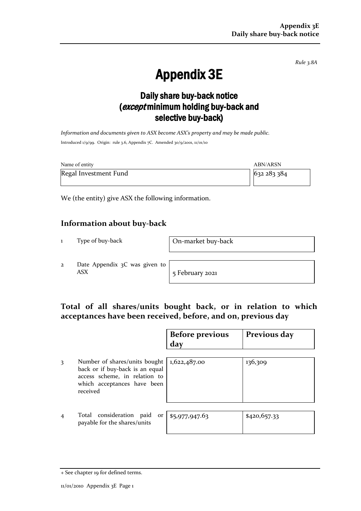*Rule 3.8A*

# Appendix 3E

## Daily share buy-back notice (except minimum holding buy-back and selective buy-back)

*Information and documents given to ASX become ASX's property and may be made public.* Introduced 1/9/99. Origin: rule 3.6, Appendix 7C. Amended 30/9/2001, 11/01/10

| Name of entity        | ABN/ARSN  |
|-----------------------|-----------|
| Regal Investment Fund | 632283384 |

We (the entity) give ASX the following information.

### **Information about buy-back**

1 Type of buy-back On-market buy-back

2 Date Appendix 3C was given to ASX 5 February 2021

### **Total of all shares/units bought back, or in relation to which acceptances have been received, before, and on, previous day**

|                |                                                                                                                                              | <b>Before previous</b><br>day | Previous day |
|----------------|----------------------------------------------------------------------------------------------------------------------------------------------|-------------------------------|--------------|
| 3              | Number of shares/units bought<br>back or if buy-back is an equal<br>access scheme, in relation to<br>which acceptances have been<br>received | 1,622,487.00                  | 136,309      |
| $\overline{4}$ | Total consideration paid<br>or <sub>1</sub><br>payable for the shares/units                                                                  | \$5,977,947.63                | \$420,657.33 |

<sup>+</sup> See chapter 19 for defined terms.